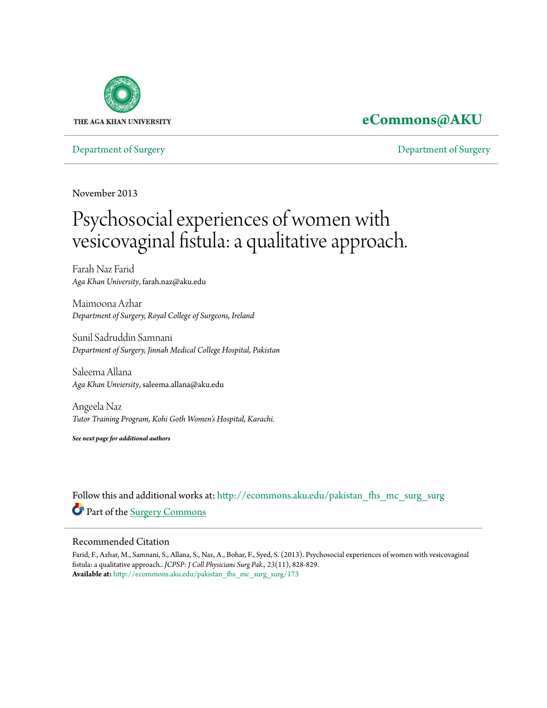

### **[eCommons@AKU](http://ecommons.aku.edu?utm_source=ecommons.aku.edu%2Fpakistan_fhs_mc_surg_surg%2F173&utm_medium=PDF&utm_campaign=PDFCoverPages)**

[Department of Surgery](http://ecommons.aku.edu/pakistan_fhs_mc_surg_surg?utm_source=ecommons.aku.edu%2Fpakistan_fhs_mc_surg_surg%2F173&utm_medium=PDF&utm_campaign=PDFCoverPages) [Department of Surgery](http://ecommons.aku.edu/pakistan_fhs_mc_surg?utm_source=ecommons.aku.edu%2Fpakistan_fhs_mc_surg_surg%2F173&utm_medium=PDF&utm_campaign=PDFCoverPages)

November 2013

# Psychosocial experiences of women with vesicovaginal fistula: a qualitative approach.

Farah Naz Farid *Aga Khan University*, farah.naz@aku.edu

Maimoona Azhar *Department of Surgery, Royal College of Surgeons, Ireland*

Sunil Sadruddin Samnani *Department of Surgery, Jinnah Medical College Hospital, Pakistan*

Saleema Allana *Aga Khan Unviersity*, saleema.allana@aku.edu

Angeela Naz *Tutor Training Program, Kohi Goth Women's Hospital, Karachi.*

*See next page for additional authors*

Follow this and additional works at: [http://ecommons.aku.edu/pakistan\\_fhs\\_mc\\_surg\\_surg](http://ecommons.aku.edu/pakistan_fhs_mc_surg_surg?utm_source=ecommons.aku.edu%2Fpakistan_fhs_mc_surg_surg%2F173&utm_medium=PDF&utm_campaign=PDFCoverPages) Part of the [Surgery Commons](http://network.bepress.com/hgg/discipline/706?utm_source=ecommons.aku.edu%2Fpakistan_fhs_mc_surg_surg%2F173&utm_medium=PDF&utm_campaign=PDFCoverPages)

#### Recommended Citation

Farid, F., Azhar, M., Samnani, S., Allana, S., Naz, A., Bohar, F., Syed, S. (2013). Psychosocial experiences of women with vesicovaginal fistula: a qualitative approach.. *JCPSP: J Coll Physicians Surg Pak., 23*(11), 828-829. **Available at:** [http://ecommons.aku.edu/pakistan\\_fhs\\_mc\\_surg\\_surg/173](http://ecommons.aku.edu/pakistan_fhs_mc_surg_surg/173)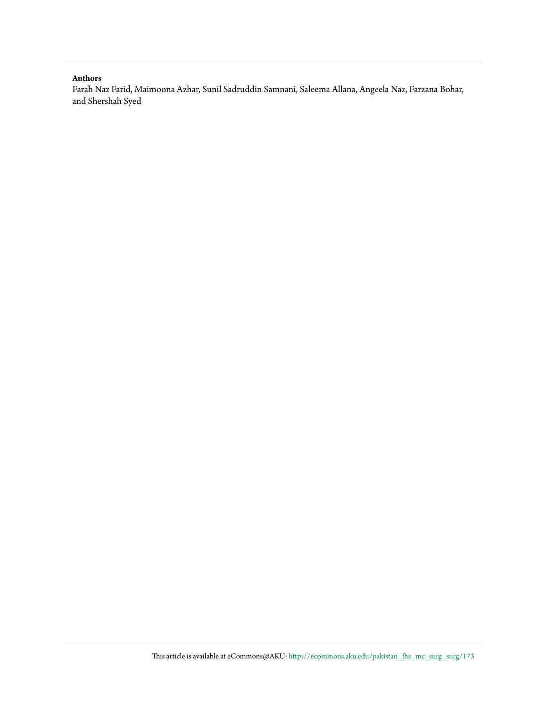#### **Authors**

Farah Naz Farid, Maimoona Azhar, Sunil Sadruddin Samnani, Saleema Allana, Angeela Naz, Farzana Bohar, and Shershah Syed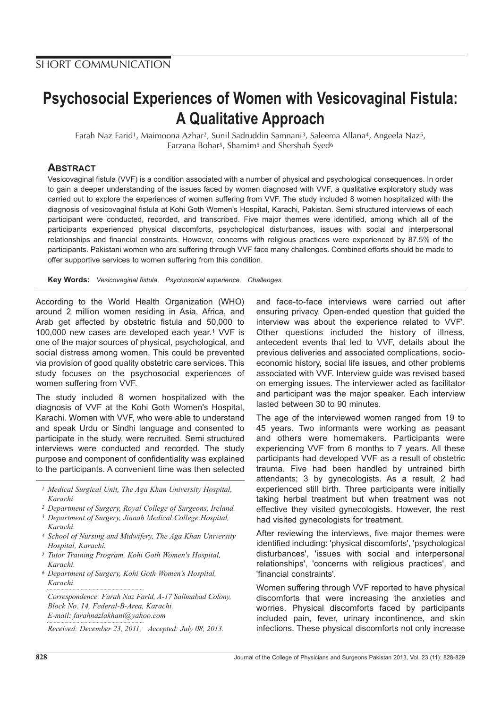## **Psychosocial Experiences of Women with Vesicovaginal Fistula: A Qualitative Approach**

Farah Naz Farid<sup>1</sup>, Maimoona Azhar<sup>2</sup>, Sunil Sadruddin Samnani<sup>3</sup>, Saleema Allana<sup>4</sup>, Angeela Naz<sup>5</sup>, Farzana Bohar5, Shamim5 and Shershah Syed6

#### **ABSTRACT**

Vesicovaginal fistula (VVF) is a condition associated with a number of physical and psychological consequences. In order to gain a deeper understanding of the issues faced by women diagnosed with VVF, a qualitative exploratory study was carried out to explore the experiences of women suffering from VVF. The study included 8 women hospitalized with the diagnosis of vesicovaginal fistula at Kohi Goth Women's Hospital, Karachi, Pakistan. Semi structured interviews of each participant were conducted, recorded, and transcribed. Five major themes were identified, among which all of the participants experienced physical discomforts, psychological disturbances, issues with social and interpersonal relationships and financial constraints. However, concerns with religious practices were experienced by 87.5% of the participants. Pakistani women who are suffering through VVF face many challenges. Combined efforts should be made to offer supportive services to women suffering from this condition.

**Key Words:** Vesicovaginal fistula. Psychosocial experience. Challenges.

According to the World Health Organization (WHO) around 2 million women residing in Asia, Africa, and Arab get affected by obstetric fistula and 50,000 to 100,000 new cases are developed each year.1 VVF is one of the major sources of physical, psychological, and social distress among women. This could be prevented via provision of good quality obstetric care services. This study focuses on the psychosocial experiences of women suffering from VVF.

The study included 8 women hospitalized with the diagnosis of VVF at the Kohi Goth Women's Hospital, Karachi. Women with VVF, who were able to understand and speak Urdu or Sindhi language and consented to participate in the study, were recruited. Semi structured interviews were conducted and recorded. The study purpose and component of confidentiality was explained to the participants. A convenient time was then selected

*1 Medical Surgical Unit, The Aga Khan University Hospital, Karachi.*

- *2 Department of Surgery, Royal College of Surgeons, Ireland.*
- *3 Department of Surgery, Jinnah Medical College Hospital, Karachi.*
- *4 School of Nursing and Midwifery, The Aga Khan University Hospital, Karachi.*
- *5 Tutor Training Program, Kohi Goth Women's Hospital, Karachi.*
- *6 Department of Surgery, Kohi Goth Women's Hospital, Karachi.*

*Correspondence: Farah Naz Farid, A-17 Salimabad Colony, Block No. 14, Federal-B-Area, Karachi. E-mail: farahnazlakhani@yahoo.com*

*Received: December 23, 2011; Accepted: July 08, 2013.*

and face-to-face interviews were carried out after ensuring privacy. Open-ended question that guided the interview was about the experience related to VVF'. Other questions included the history of illness, antecedent events that led to VVF, details about the previous deliveries and associated complications, socioeconomic history, social life issues, and other problems associated with VVF. Interview guide was revised based on emerging issues. The interviewer acted as facilitator and participant was the major speaker. Each interview lasted between 30 to 90 minutes.

The age of the interviewed women ranged from 19 to 45 years. Two informants were working as peasant and others were homemakers. Participants were experiencing VVF from 6 months to 7 years. All these participants had developed VVF as a result of obstetric trauma. Five had been handled by untrained birth attendants; 3 by gynecologists. As a result, 2 had experienced still birth. Three participants were initially taking herbal treatment but when treatment was not effective they visited gynecologists. However, the rest had visited gynecologists for treatment.

After reviewing the interviews, five major themes were identified including: 'physical discomforts', 'psychological disturbances', 'issues with social and interpersonal relationships', 'concerns with religious practices', and 'financial constraints'.

Women suffering through VVF reported to have physical discomforts that were increasing the anxieties and worries. Physical discomforts faced by participants included pain, fever, urinary incontinence, and skin infections. These physical discomforts not only increase